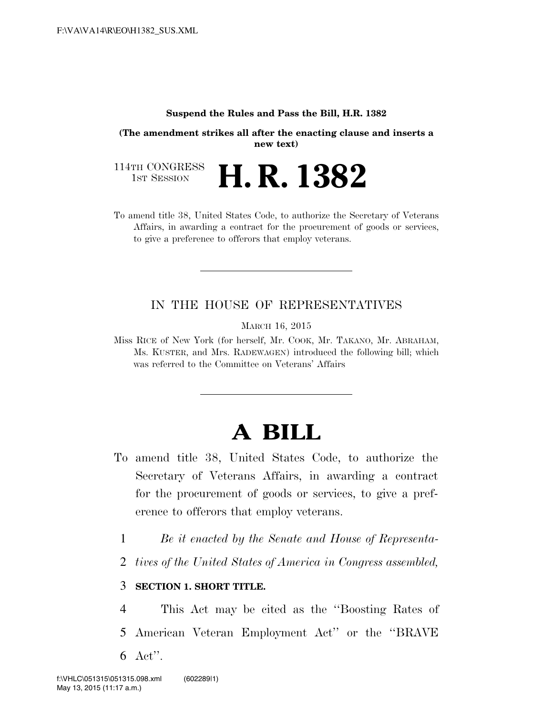#### **Suspend the Rules and Pass the Bill, H.R. 1382**

**(The amendment strikes all after the enacting clause and inserts a new text)** 

114TH CONGRESS<br>1st Session H. R. 1382

To amend title 38, United States Code, to authorize the Secretary of Veterans Affairs, in awarding a contract for the procurement of goods or services, to give a preference to offerors that employ veterans.

### IN THE HOUSE OF REPRESENTATIVES

MARCH 16, 2015

Miss RICE of New York (for herself, Mr. COOK, Mr. TAKANO, Mr. ABRAHAM, Ms. KUSTER, and Mrs. RADEWAGEN) introduced the following bill; which was referred to the Committee on Veterans' Affairs

# **A BILL**

- To amend title 38, United States Code, to authorize the Secretary of Veterans Affairs, in awarding a contract for the procurement of goods or services, to give a preference to offerors that employ veterans.
	- 1 *Be it enacted by the Senate and House of Representa-*
	- 2 *tives of the United States of America in Congress assembled,*

### 3 **SECTION 1. SHORT TITLE.**

4 This Act may be cited as the ''Boosting Rates of 5 American Veteran Employment Act'' or the ''BRAVE 6 Act''.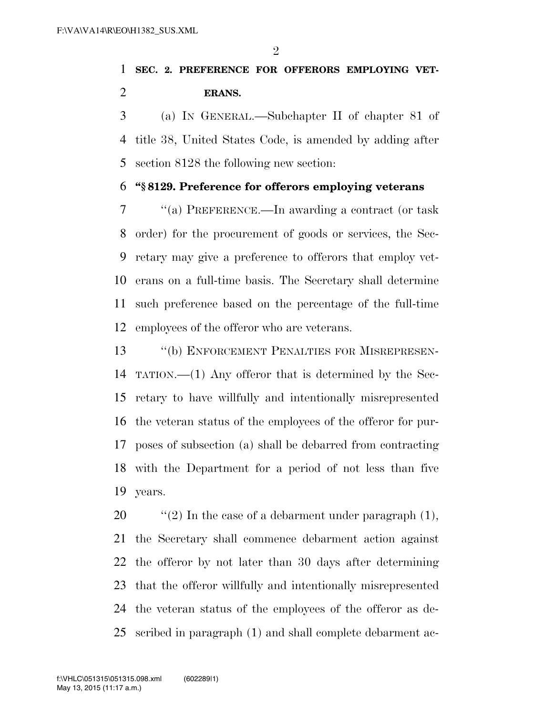$\mathfrak{D}$ 

## **SEC. 2. PREFERENCE FOR OFFERORS EMPLOYING VET-ERANS.**

 (a) IN GENERAL.—Subchapter II of chapter 81 of title 38, United States Code, is amended by adding after section 8128 the following new section:

#### **''§ 8129. Preference for offerors employing veterans**

 ''(a) PREFERENCE.—In awarding a contract (or task order) for the procurement of goods or services, the Sec- retary may give a preference to offerors that employ vet- erans on a full-time basis. The Secretary shall determine such preference based on the percentage of the full-time employees of the offeror who are veterans.

13 <sup>"</sup>(b) ENFORCEMENT PENALTIES FOR MISREPRESEN- TATION.—(1) Any offeror that is determined by the Sec- retary to have willfully and intentionally misrepresented the veteran status of the employees of the offeror for pur- poses of subsection (a) shall be debarred from contracting with the Department for a period of not less than five years.

 $\frac{1}{2}$  (2) In the case of a debarment under paragraph (1), the Secretary shall commence debarment action against the offeror by not later than 30 days after determining that the offeror willfully and intentionally misrepresented the veteran status of the employees of the offeror as de-scribed in paragraph (1) and shall complete debarment ac